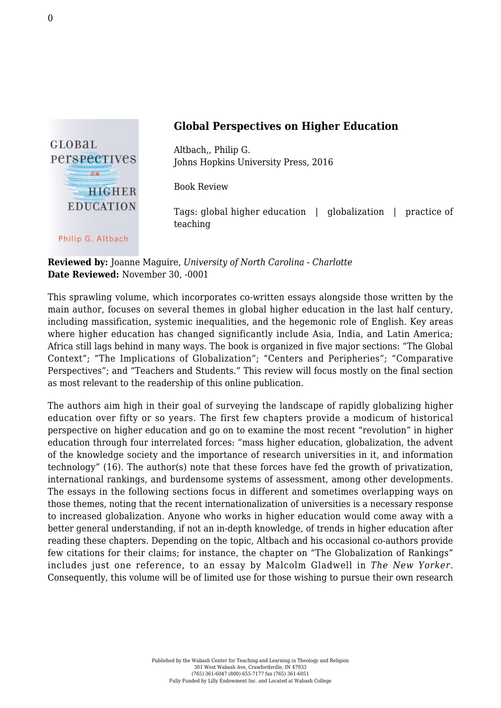

## **Global Perspectives on Higher Education**

Altbach,, Philip G. [Johns Hopkins University Press, 2016](https://jhupbooks.press.jhu.edu/content/global-perspectives-higher-education)

Book Review

Tags: global higher education | globalization | practice of teaching

**Reviewed by:** Joanne Maguire, *University of North Carolina - Charlotte* **Date Reviewed:** November 30, -0001

This sprawling volume, which incorporates co-written essays alongside those written by the main author, focuses on several themes in global higher education in the last half century, including massification, systemic inequalities, and the hegemonic role of English. Key areas where higher education has changed significantly include Asia, India, and Latin America; Africa still lags behind in many ways. The book is organized in five major sections: "The Global Context"; "The Implications of Globalization"; "Centers and Peripheries"; "Comparative Perspectives"; and "Teachers and Students." This review will focus mostly on the final section as most relevant to the readership of this online publication.

The authors aim high in their goal of surveying the landscape of rapidly globalizing higher education over fifty or so years. The first few chapters provide a modicum of historical perspective on higher education and go on to examine the most recent "revolution" in higher education through four interrelated forces: "mass higher education, globalization, the advent of the knowledge society and the importance of research universities in it, and information technology" (16). The author(s) note that these forces have fed the growth of privatization, international rankings, and burdensome systems of assessment, among other developments. The essays in the following sections focus in different and sometimes overlapping ways on those themes, noting that the recent internationalization of universities is a necessary response to increased globalization. Anyone who works in higher education would come away with a better general understanding, if not an in-depth knowledge, of trends in higher education after reading these chapters. Depending on the topic, Altbach and his occasional co-authors provide few citations for their claims; for instance, the chapter on "The Globalization of Rankings" includes just one reference, to an essay by Malcolm Gladwell in *The New Yorker*. Consequently, this volume will be of limited use for those wishing to pursue their own research